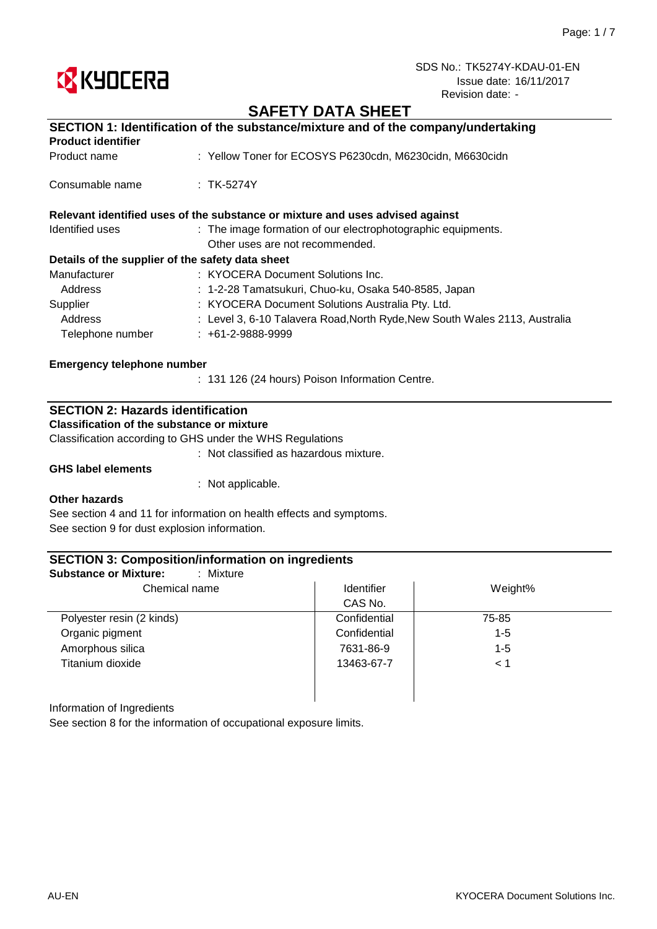

### **SAFETY DATA SHEET**

| SECTION 1: Identification of the substance/mixture and of the company/undertaking<br><b>Product identifier</b> |                                                                               |  |  |
|----------------------------------------------------------------------------------------------------------------|-------------------------------------------------------------------------------|--|--|
| Product name                                                                                                   | : Yellow Toner for ECOSYS P6230cdn, M6230cidn, M6630cidn                      |  |  |
| Consumable name                                                                                                | $\therefore$ TK-5274Y                                                         |  |  |
|                                                                                                                | Relevant identified uses of the substance or mixture and uses advised against |  |  |
| Identified uses                                                                                                | : The image formation of our electrophotographic equipments.                  |  |  |
|                                                                                                                | Other uses are not recommended.                                               |  |  |
| Details of the supplier of the safety data sheet                                                               |                                                                               |  |  |
| Manufacturer                                                                                                   | : KYOCERA Document Solutions Inc.                                             |  |  |
| Address                                                                                                        | : 1-2-28 Tamatsukuri, Chuo-ku, Osaka 540-8585, Japan                          |  |  |
| Supplier                                                                                                       | : KYOCERA Document Solutions Australia Pty. Ltd.                              |  |  |
| Address                                                                                                        | : Level 3, 6-10 Talavera Road, North Ryde, New South Wales 2113, Australia    |  |  |
| Telephone number                                                                                               | $: +61-2-9888-9999$                                                           |  |  |
| <b>Emergency telephone number</b>                                                                              |                                                                               |  |  |
|                                                                                                                | : 131 126 (24 hours) Poison Information Centre.                               |  |  |
|                                                                                                                | <b>SECTION 2: Hazards identification</b>                                      |  |  |

# **Classification of the substance or mixture**

Classification according to GHS under the WHS Regulations

: Not classified as hazardous mixture.

#### **GHS label elements**

: Not applicable.

#### **Other hazards**

See section 4 and 11 for information on health effects and symptoms. See section 9 for dust explosion information.

### **SECTION 3: Composition/information on ingredients**

| : Mixture<br><b>Substance or Mixture:</b> |                   |         |  |
|-------------------------------------------|-------------------|---------|--|
| Chemical name                             | <b>Identifier</b> | Weight% |  |
|                                           | CAS No.           |         |  |
| Polyester resin (2 kinds)                 | Confidential      | 75-85   |  |
| Organic pigment                           | Confidential      | $1 - 5$ |  |
| Amorphous silica                          | 7631-86-9         | $1 - 5$ |  |
| Titanium dioxide                          | 13463-67-7        | < 1     |  |
|                                           |                   |         |  |

Information of Ingredients

See section 8 for the information of occupational exposure limits.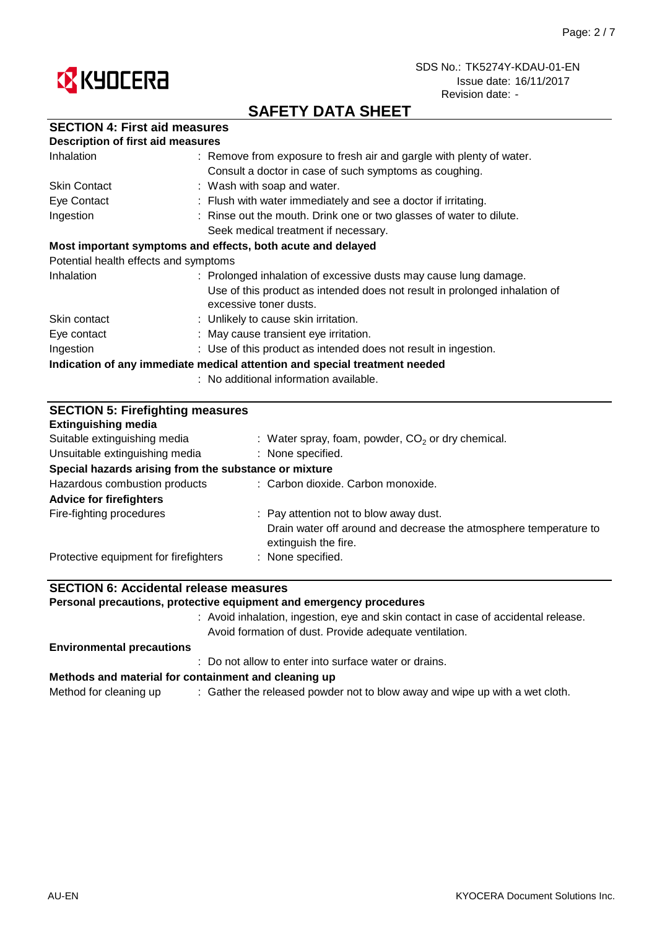



# **SAFETY DATA SHEET**

| <b>SECTION 4: First aid measures</b> |  |  |  |
|--------------------------------------|--|--|--|
|--------------------------------------|--|--|--|

| <b>Description of first aid measures</b>                                   |                                                                                                      |  |  |  |  |
|----------------------------------------------------------------------------|------------------------------------------------------------------------------------------------------|--|--|--|--|
| <b>Inhalation</b>                                                          | : Remove from exposure to fresh air and gargle with plenty of water.                                 |  |  |  |  |
|                                                                            | Consult a doctor in case of such symptoms as coughing.                                               |  |  |  |  |
| <b>Skin Contact</b>                                                        | : Wash with soap and water.                                                                          |  |  |  |  |
| Eye Contact                                                                | : Flush with water immediately and see a doctor if irritating.                                       |  |  |  |  |
| Ingestion                                                                  | : Rinse out the mouth. Drink one or two glasses of water to dilute.                                  |  |  |  |  |
|                                                                            | Seek medical treatment if necessary.                                                                 |  |  |  |  |
|                                                                            | Most important symptoms and effects, both acute and delayed                                          |  |  |  |  |
| Potential health effects and symptoms                                      |                                                                                                      |  |  |  |  |
| Inhalation                                                                 | : Prolonged inhalation of excessive dusts may cause lung damage.                                     |  |  |  |  |
|                                                                            | Use of this product as intended does not result in prolonged inhalation of<br>excessive toner dusts. |  |  |  |  |
| Skin contact                                                               | : Unlikely to cause skin irritation.                                                                 |  |  |  |  |
| Eye contact                                                                | : May cause transient eye irritation.                                                                |  |  |  |  |
| Ingestion                                                                  | : Use of this product as intended does not result in ingestion.                                      |  |  |  |  |
| Indication of any immediate medical attention and special treatment needed |                                                                                                      |  |  |  |  |
|                                                                            | : No additional information available.                                                               |  |  |  |  |

| <b>SECTION 5: Firefighting measures</b>               |                                                                                           |  |  |  |
|-------------------------------------------------------|-------------------------------------------------------------------------------------------|--|--|--|
| <b>Extinguishing media</b>                            |                                                                                           |  |  |  |
| Suitable extinguishing media                          | : Water spray, foam, powder, $CO2$ or dry chemical.                                       |  |  |  |
| Unsuitable extinguishing media                        | : None specified.                                                                         |  |  |  |
| Special hazards arising from the substance or mixture |                                                                                           |  |  |  |
| Hazardous combustion products                         | : Carbon dioxide. Carbon monoxide.                                                        |  |  |  |
| <b>Advice for firefighters</b>                        |                                                                                           |  |  |  |
| Fire-fighting procedures                              | : Pay attention not to blow away dust.                                                    |  |  |  |
|                                                       | Drain water off around and decrease the atmosphere temperature to<br>extinguish the fire. |  |  |  |
| Protective equipment for firefighters                 | : None specified.                                                                         |  |  |  |

### **SECTION 6: Accidental release measures**

**Personal precautions, protective equipment and emergency procedures**

: Avoid inhalation, ingestion, eye and skin contact in case of accidental release. Avoid formation of dust. Provide adequate ventilation.

#### **Environmental precautions**

: Do not allow to enter into surface water or drains.

#### **Methods and material for containment and cleaning up**

Method for cleaning up  $\qquad \qquad :$  Gather the released powder not to blow away and wipe up with a wet cloth.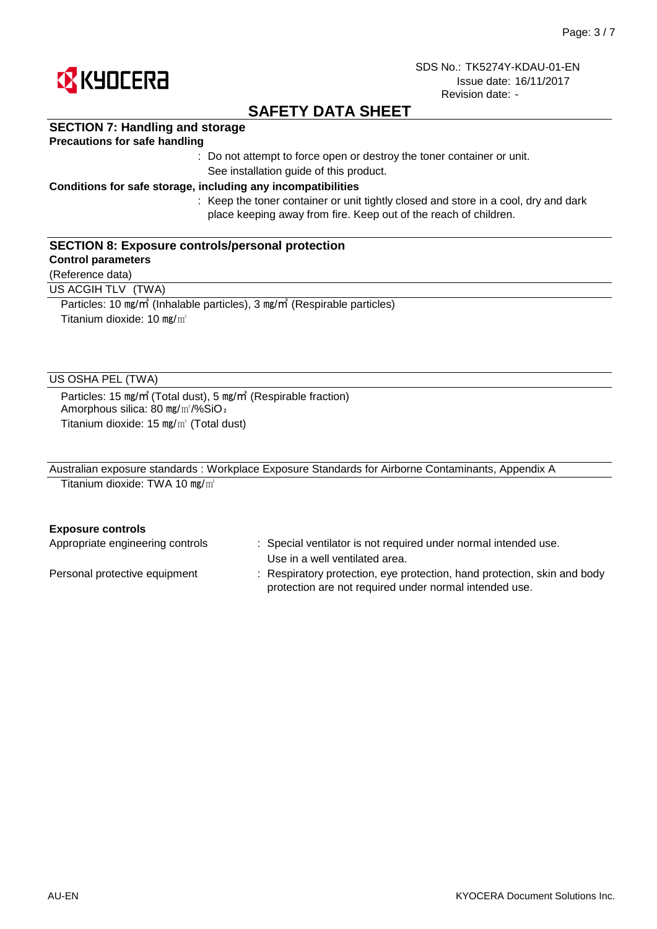

# **SAFETY DATA SHEET**

### **SECTION 7: Handling and storage**

#### **Precautions for safe handling**

: Do not attempt to force open or destroy the toner container or unit. See installation guide of this product.

#### **Conditions for safe storage, including any incompatibilities**

: Keep the toner container or unit tightly closed and store in a cool, dry and dark place keeping away from fire. Keep out of the reach of children.

#### **SECTION 8: Exposure controls/personal protection**

#### **Control parameters**

(Reference data)

US ACGIH TLV (TWA)

Particles: 10 ㎎/㎥ (Inhalable particles), 3 ㎎/㎥ (Respirable particles) Titanium dioxide: 10 mg/m<sup>3</sup>

#### US OSHA PEL (TWA)

Particles: 15 ㎎/㎥ (Total dust), 5 ㎎/㎥ (Respirable fraction) Amorphous silica: 80 mg/m<sup>3</sup>/%SiO<sub>2</sub> Titanium dioxide: 15 ㎎/㎥ (Total dust)

| Australian exposure standards: Workplace Exposure Standards for Airborne Contaminants, Appendix A |  |
|---------------------------------------------------------------------------------------------------|--|
| Titanium dioxide: TWA 10 mg/ $m^3$                                                                |  |

#### **Exposure controls**

| Appropriate engineering controls | : Special ventilator is not required under normal intended use.<br>Use in a well ventilated area.                                  |
|----------------------------------|------------------------------------------------------------------------------------------------------------------------------------|
| Personal protective equipment    | : Respiratory protection, eye protection, hand protection, skin and body<br>protection are not required under normal intended use. |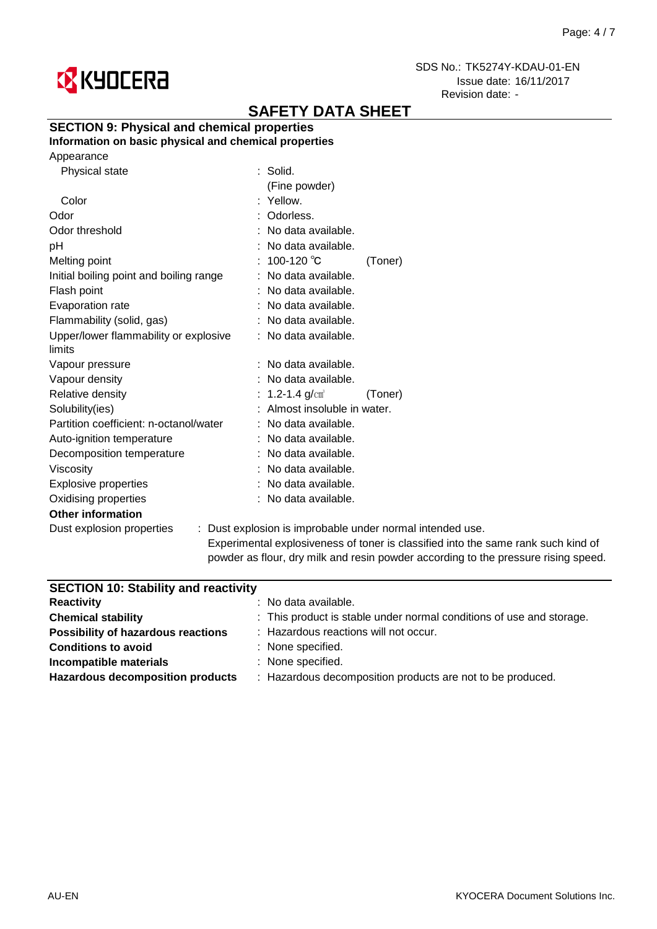

# **SAFETY DATA SHEET**

### **SECTION 9: Physical and chemical properties**

### **Information on basic physical and chemical properties**

|  | Appearance |
|--|------------|
|--|------------|

| Physical state                          | $:$ Solid.                                     |
|-----------------------------------------|------------------------------------------------|
|                                         | (Fine powder)                                  |
| Color                                   | : Yellow.                                      |
| Odor                                    | : Odorless.                                    |
| Odor threshold                          | : No data available.                           |
| рH                                      | No data available.                             |
| Melting point                           | : 100-120 ℃<br>(Toner)                         |
| Initial boiling point and boiling range | : No data available.                           |
| Flash point                             | : No data available.                           |
| Evaporation rate                        | No data available.                             |
| Flammability (solid, gas)               | : No data available.                           |
| Upper/lower flammability or explosive   | : No data available.                           |
| limits                                  |                                                |
| Vapour pressure                         | No data available.                             |
| Vapour density                          | No data available.                             |
| Relative density                        | : 1.2-1.4 $g/cm^{3}$<br>(Toner)                |
| Solubility(ies)                         | Almost insoluble in water.                     |
| Partition coefficient: n-octanol/water  | : No data available.                           |
| Auto-ignition temperature               | No data available.                             |
| Decomposition temperature               | : No data available.                           |
| Viscosity                               | $:$ No data available.                         |
| <b>Explosive properties</b>             | : No data available.                           |
| Oxidising properties                    | : No data available.                           |
| <b>Other information</b>                |                                                |
| Dust explosion properties               | : Dust explosion is improbable under normal in |
|                                         |                                                |

ntended use. Experimental explosiveness of toner is classified into the same rank such kind of powder as flour, dry milk and resin powder according to the pressure rising speed.

| <b>SECTION 10: Stability and reactivity</b>                          |  |  |  |
|----------------------------------------------------------------------|--|--|--|
| $:$ No data available.                                               |  |  |  |
| : This product is stable under normal conditions of use and storage. |  |  |  |
| : Hazardous reactions will not occur.                                |  |  |  |
| : None specified.                                                    |  |  |  |
| : None specified.                                                    |  |  |  |
| : Hazardous decomposition products are not to be produced.           |  |  |  |
|                                                                      |  |  |  |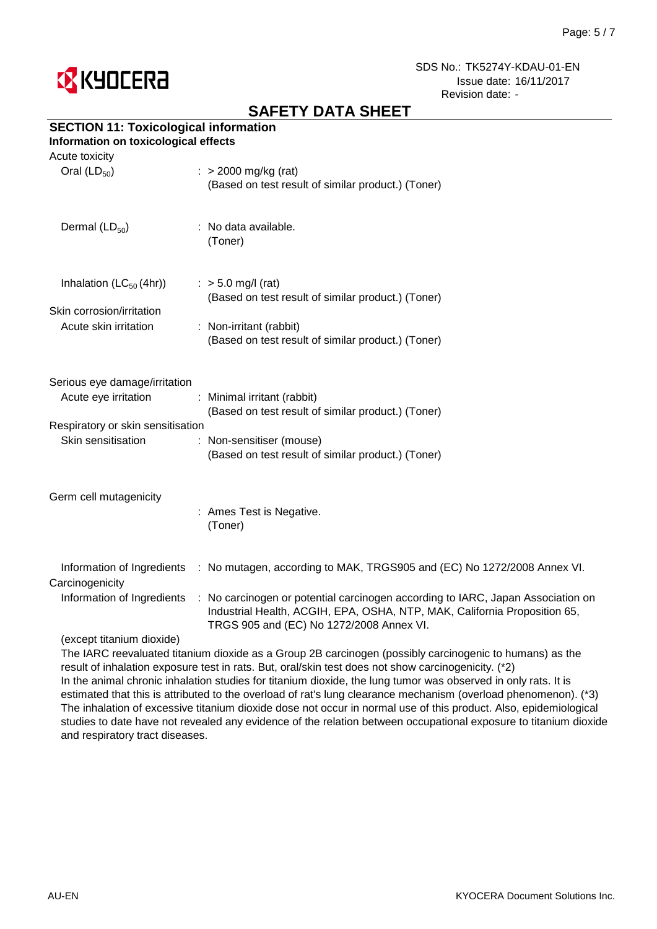

# **SAFETY DATA SHEET**

### **SECTION 11: Toxicological information**

### **Information on toxicological effects**

| Acute toxicity                                                                                                   |                                                                                                                                                                                                          |
|------------------------------------------------------------------------------------------------------------------|----------------------------------------------------------------------------------------------------------------------------------------------------------------------------------------------------------|
| Oral $(LD_{50})$                                                                                                 | $\therefore$ > 2000 mg/kg (rat)<br>(Based on test result of similar product.) (Toner)                                                                                                                    |
| Dermal $(LD_{50})$                                                                                               | : No data available.<br>(Toner)                                                                                                                                                                          |
| Inhalation $(LC_{50}(4hr))$                                                                                      | : $> 5.0$ mg/l (rat)<br>(Based on test result of similar product.) (Toner)                                                                                                                               |
| Skin corrosion/irritation                                                                                        |                                                                                                                                                                                                          |
| Acute skin irritation                                                                                            | : Non-irritant (rabbit)<br>(Based on test result of similar product.) (Toner)                                                                                                                            |
| Serious eye damage/irritation<br>Acute eye irritation<br>Respiratory or skin sensitisation<br>Skin sensitisation | : Minimal irritant (rabbit)<br>(Based on test result of similar product.) (Toner)<br>: Non-sensitiser (mouse)<br>(Based on test result of similar product.) (Toner)                                      |
| Germ cell mutagenicity                                                                                           | : Ames Test is Negative.<br>(Toner)                                                                                                                                                                      |
| Carcinogenicity                                                                                                  | Information of Ingredients : No mutagen, according to MAK, TRGS905 and (EC) No 1272/2008 Annex VI.                                                                                                       |
| Information of Ingredients                                                                                       | : No carcinogen or potential carcinogen according to IARC, Japan Association on<br>Industrial Health, ACGIH, EPA, OSHA, NTP, MAK, California Proposition 65,<br>TRGS 905 and (EC) No 1272/2008 Annex VI. |
| (except titanium dioxide)                                                                                        |                                                                                                                                                                                                          |

(except titanium dioxide)

The IARC reevaluated titanium dioxide as a Group 2B carcinogen (possibly carcinogenic to humans) as the result of inhalation exposure test in rats. But, oral/skin test does not show carcinogenicity. (\*2) In the animal chronic inhalation studies for titanium dioxide, the lung tumor was observed in only rats. It is estimated that this is attributed to the overload of rat's lung clearance mechanism (overload phenomenon). (\*3) The inhalation of excessive titanium dioxide dose not occur in normal use of this product. Also, epidemiological studies to date have not revealed any evidence of the relation between occupational exposure to titanium dioxide and respiratory tract diseases.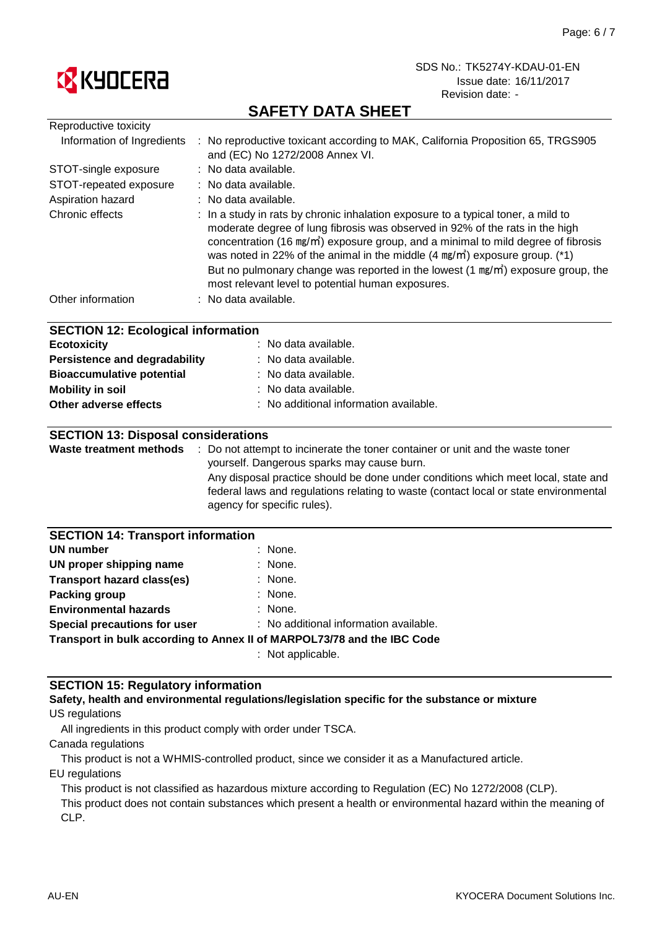

# **SAFETY DATA SHEET**

| Reproductive toxicity                                      |                                                                                                                                                                                                                                                                                                                                                                                                                                                                                                                   |  |
|------------------------------------------------------------|-------------------------------------------------------------------------------------------------------------------------------------------------------------------------------------------------------------------------------------------------------------------------------------------------------------------------------------------------------------------------------------------------------------------------------------------------------------------------------------------------------------------|--|
| Information of Ingredients                                 | : No reproductive toxicant according to MAK, California Proposition 65, TRGS905<br>and (EC) No 1272/2008 Annex VI.                                                                                                                                                                                                                                                                                                                                                                                                |  |
| STOT-single exposure                                       | : No data available.                                                                                                                                                                                                                                                                                                                                                                                                                                                                                              |  |
| STOT-repeated exposure                                     | : No data available.                                                                                                                                                                                                                                                                                                                                                                                                                                                                                              |  |
| Aspiration hazard                                          | : No data available.                                                                                                                                                                                                                                                                                                                                                                                                                                                                                              |  |
| Chronic effects                                            | In a study in rats by chronic inhalation exposure to a typical toner, a mild to<br>moderate degree of lung fibrosis was observed in 92% of the rats in the high<br>concentration (16 mg/m <sup>2</sup> ) exposure group, and a minimal to mild degree of fibrosis<br>was noted in 22% of the animal in the middle $(4 \text{ mg/m}^3)$ exposure group. (*1)<br>But no pulmonary change was reported in the lowest (1 mg/m <sup>3</sup> ) exposure group, the<br>most relevant level to potential human exposures. |  |
| Other information                                          | : No data available.                                                                                                                                                                                                                                                                                                                                                                                                                                                                                              |  |
| <b>SECTION 12: Ecological information</b>                  | No data available.                                                                                                                                                                                                                                                                                                                                                                                                                                                                                                |  |
| <b>Ecotoxicity</b>                                         |                                                                                                                                                                                                                                                                                                                                                                                                                                                                                                                   |  |
| <b>Persistence and degradability</b><br>No data available. |                                                                                                                                                                                                                                                                                                                                                                                                                                                                                                                   |  |
| No data available.<br><b>Bioaccumulative potential</b>     |                                                                                                                                                                                                                                                                                                                                                                                                                                                                                                                   |  |
| <b>Mobility in soil</b>                                    | No data available.                                                                                                                                                                                                                                                                                                                                                                                                                                                                                                |  |
| Other adverse effects                                      | No additional information available.                                                                                                                                                                                                                                                                                                                                                                                                                                                                              |  |
| <b>SECTION 13: Disposal considerations</b>                 |                                                                                                                                                                                                                                                                                                                                                                                                                                                                                                                   |  |
| <b>Waste treatment methods</b>                             | : Do not attempt to incinerate the toner container or unit and the waste toner                                                                                                                                                                                                                                                                                                                                                                                                                                    |  |
|                                                            | yourself. Dangerous sparks may cause burn.                                                                                                                                                                                                                                                                                                                                                                                                                                                                        |  |
|                                                            | Any disposal practice should be done under conditions which meet local, state and                                                                                                                                                                                                                                                                                                                                                                                                                                 |  |
|                                                            | federal laws and regulations relating to waste (contact local or state environmental                                                                                                                                                                                                                                                                                                                                                                                                                              |  |
|                                                            | agency for specific rules).                                                                                                                                                                                                                                                                                                                                                                                                                                                                                       |  |
| <b>SECTION 14: Transport information</b>                   |                                                                                                                                                                                                                                                                                                                                                                                                                                                                                                                   |  |
| UN number                                                  | : None.                                                                                                                                                                                                                                                                                                                                                                                                                                                                                                           |  |
| UN proper shipping name                                    | None.                                                                                                                                                                                                                                                                                                                                                                                                                                                                                                             |  |
| <b>Transport hazard class(es)</b>                          | None.                                                                                                                                                                                                                                                                                                                                                                                                                                                                                                             |  |
| <b>Packing group</b>                                       | None.                                                                                                                                                                                                                                                                                                                                                                                                                                                                                                             |  |
| <b>Environmental hazards</b>                               | : None.                                                                                                                                                                                                                                                                                                                                                                                                                                                                                                           |  |
| Special precautions for user                               | : No additional information available.                                                                                                                                                                                                                                                                                                                                                                                                                                                                            |  |
|                                                            | Transport in bulk according to Annex II of MARPOL73/78 and the IBC Code                                                                                                                                                                                                                                                                                                                                                                                                                                           |  |
|                                                            | : Not applicable.                                                                                                                                                                                                                                                                                                                                                                                                                                                                                                 |  |

#### **SECTION 15: Regulatory information**

US regulations **Safety, health and environmental regulations/legislation specific for the substance or mixture**

All ingredients in this product comply with order under TSCA.

Canada regulations

This product is not a WHMIS-controlled product, since we consider it as a Manufactured article.

EU regulations

This product is not classified as hazardous mixture according to Regulation (EC) No 1272/2008 (CLP).

This product does not contain substances which present a health or environmental hazard within the meaning of CLP.